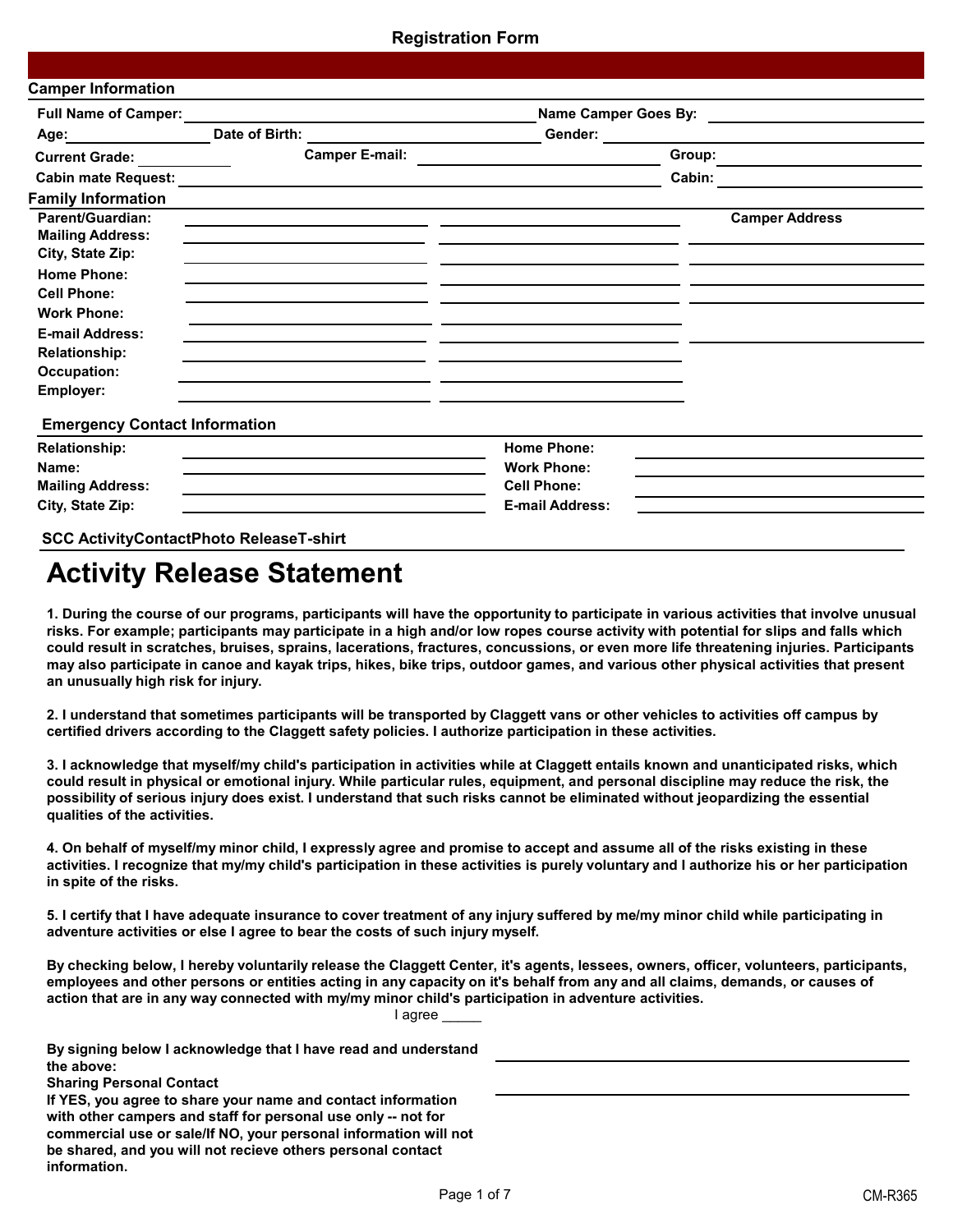| <b>Full Name of Camper:</b>                                            |                |                       | Name Camper Goes By:                         | <u> 1980 - Andrea Andrew Maria (h. 1980).</u> |  |
|------------------------------------------------------------------------|----------------|-----------------------|----------------------------------------------|-----------------------------------------------|--|
| Age:                                                                   | Date of Birth: |                       | Gender:                                      |                                               |  |
| <b>Current Grade:</b>                                                  |                | <b>Camper E-mail:</b> |                                              | Group:                                        |  |
| <b>Cabin mate Request:</b>                                             |                |                       |                                              | Cabin:                                        |  |
| <b>Family Information</b>                                              |                |                       |                                              |                                               |  |
| <b>Parent/Guardian:</b><br><b>Mailing Address:</b><br>City, State Zip: |                |                       |                                              | <b>Camper Address</b>                         |  |
| <b>Home Phone:</b><br><b>Cell Phone:</b>                               |                |                       |                                              |                                               |  |
| <b>Work Phone:</b><br><b>E-mail Address:</b><br><b>Relationship:</b>   |                |                       |                                              |                                               |  |
| Occupation:<br>Employer:                                               |                |                       |                                              |                                               |  |
| <b>Emergency Contact Information</b>                                   |                |                       |                                              |                                               |  |
| <b>Relationship:</b><br>Name:                                          |                |                       | <b>Home Phone:</b><br><b>Work Phone:</b>     |                                               |  |
| <b>Mailing Address:</b><br>City, State Zip:                            |                |                       | <b>Cell Phone:</b><br><b>E-mail Address:</b> |                                               |  |

# **Activity Release Statement**

**1. During the course of our programs, participants will have the opportunity to participate in various activities that involve unusual risks. For example; participants may participate in a high and/or low ropes course activity with potential for slips and falls which could result in scratches, bruises, sprains, lacerations, fractures, concussions, or even more life threatening injuries. Participants may also participate in canoe and kayak trips, hikes, bike trips, outdoor games, and various other physical activities that present an unusually high risk for injury.**

**2. I understand that sometimes participants will be transported by Claggett vans or other vehicles to activities off campus by certified drivers according to the Claggett safety policies. I authorize participation in these activities.**

**3. I acknowledge that myself/my child's participation in activities while at Claggett entails known and unanticipated risks, which could result in physical or emotional injury. While particular rules, equipment, and personal discipline may reduce the risk, the possibility of serious injury does exist. I understand that such risks cannot be eliminated without jeopardizing the essential qualities of the activities.**

**4. On behalf of myself/my minor child, I expressly agree and promise to accept and assume all of the risks existing in these activities. I recognize that my/my child's participation in these activities is purely voluntary and I authorize his or her participation in spite of the risks.**

**5. I certify that I have adequate insurance to cover treatment of any injury suffered by me/my minor child while participating in adventure activities or else I agree to bear the costs of such injury myself.**

**By checking below, I hereby voluntarily release the Claggett Center, it's agents, lessees, owners, officer, volunteers, participants, employees and other persons or entities acting in any capacity on it's behalf from any and all claims, demands, or causes of action that are in any way connected with my/my minor child's participation in adventure activities.**

I agree

| By signing below I acknowledge that I have read and understand<br>the above:<br><b>Sharing Personal Contact</b>                                                                                                                                                                  |  |
|----------------------------------------------------------------------------------------------------------------------------------------------------------------------------------------------------------------------------------------------------------------------------------|--|
| If YES, you agree to share your name and contact information<br>with other campers and staff for personal use only -- not for<br>commercial use or sale/If NO, your personal information will not<br>be shared, and you will not recieve others personal contact<br>information. |  |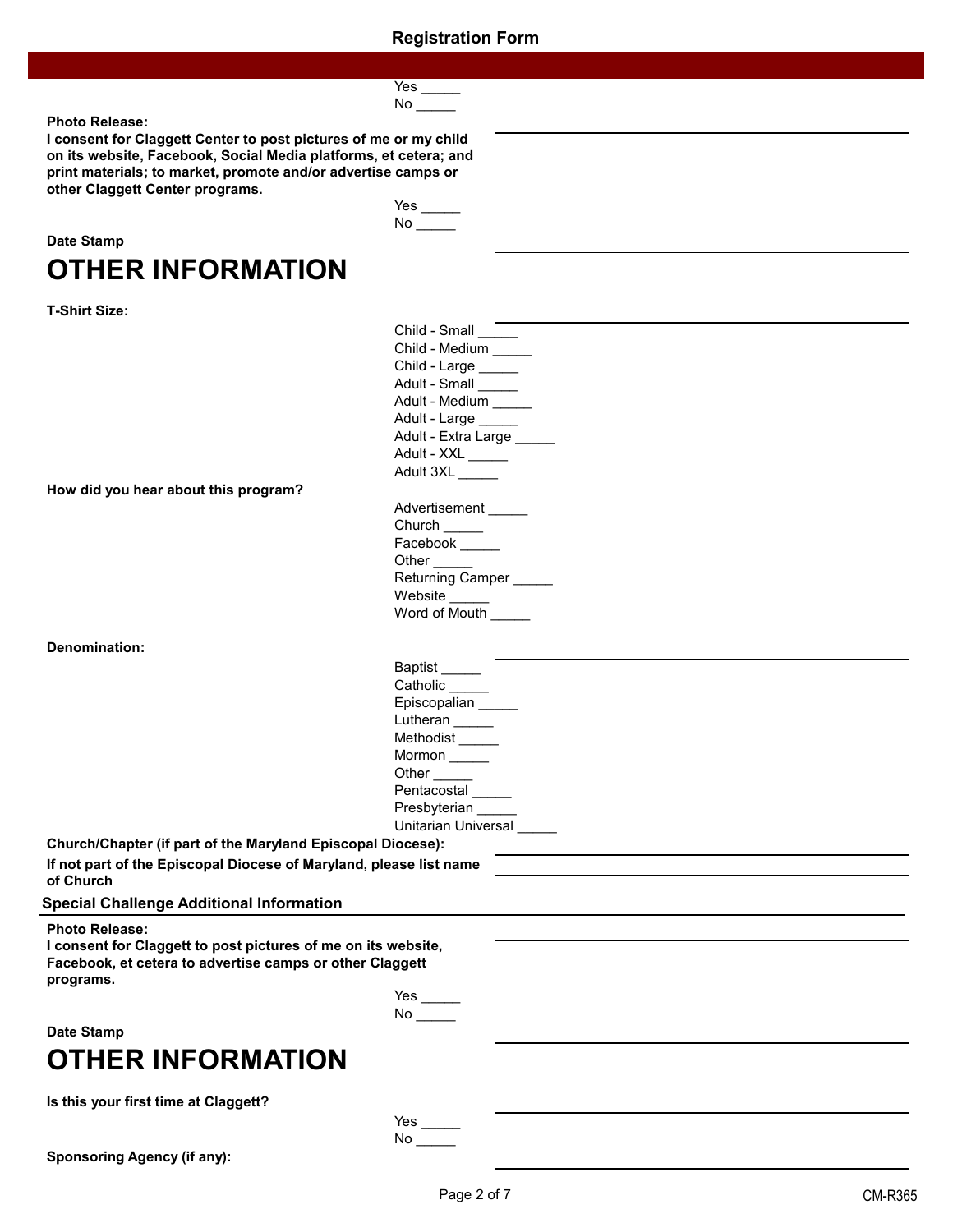| PΞ |  |
|----|--|
| ר  |  |

Yes \_\_\_\_\_ No  $\_\_$ 

#### **Photo Release:**

**I consent for Claggett Center to post pictures of me or my child on its website, Facebook, Social Media platforms, et cetera; and print materials; to market, promote and/or advertise camps or other Claggett Center programs.**

| Date Stamp |                   |
|------------|-------------------|
|            | OTHER INFORMATION |

| T-Shirt Size: |  |
|---------------|--|
|---------------|--|

| <b>OTHER INFORMATION</b>                                                                                                                                        |                             |
|-----------------------------------------------------------------------------------------------------------------------------------------------------------------|-----------------------------|
| <b>T-Shirt Size:</b>                                                                                                                                            |                             |
|                                                                                                                                                                 | Child - Small _____         |
|                                                                                                                                                                 | Child - Medium _____        |
|                                                                                                                                                                 | Child - Large _____         |
|                                                                                                                                                                 | Adult - Small _____         |
|                                                                                                                                                                 | Adult - Medium _____        |
|                                                                                                                                                                 | Adult - Large _____         |
|                                                                                                                                                                 | Adult - Extra Large         |
|                                                                                                                                                                 | Adult - XXL ______          |
| How did you hear about this program?                                                                                                                            | Adult 3XL                   |
|                                                                                                                                                                 | Advertisement _____         |
|                                                                                                                                                                 | Church _____                |
|                                                                                                                                                                 | Facebook _____              |
|                                                                                                                                                                 | Other <sub>______</sub>     |
|                                                                                                                                                                 | Returning Camper            |
|                                                                                                                                                                 | Website                     |
|                                                                                                                                                                 | Word of Mouth               |
| <b>Denomination:</b>                                                                                                                                            |                             |
|                                                                                                                                                                 | Baptist ______              |
|                                                                                                                                                                 | Catholic _____              |
|                                                                                                                                                                 | Episcopalian                |
|                                                                                                                                                                 | Lutheran                    |
|                                                                                                                                                                 | Methodist <sub>______</sub> |
|                                                                                                                                                                 | Mormon                      |
|                                                                                                                                                                 | Other $\_\_$                |
|                                                                                                                                                                 | Pentacostal                 |
|                                                                                                                                                                 | Presbyterian _____          |
|                                                                                                                                                                 | Unitarian Universal         |
| Church/Chapter (if part of the Maryland Episcopal Diocese):                                                                                                     |                             |
| If not part of the Episcopal Diocese of Maryland, please list name<br>of Church                                                                                 |                             |
| <b>Special Challenge Additional Information</b>                                                                                                                 |                             |
| <b>Photo Release:</b><br>I consent for Claggett to post pictures of me on its website,<br>Facebook, et cetera to advertise camps or other Claggett<br>programs. |                             |
|                                                                                                                                                                 |                             |
|                                                                                                                                                                 |                             |
| <b>Date Stamp</b>                                                                                                                                               |                             |
| <b>OTHER INFORMATION</b>                                                                                                                                        |                             |
| Is this your first time at Claggett?                                                                                                                            |                             |
|                                                                                                                                                                 |                             |
|                                                                                                                                                                 |                             |

**Sponsoring Agency (if any):**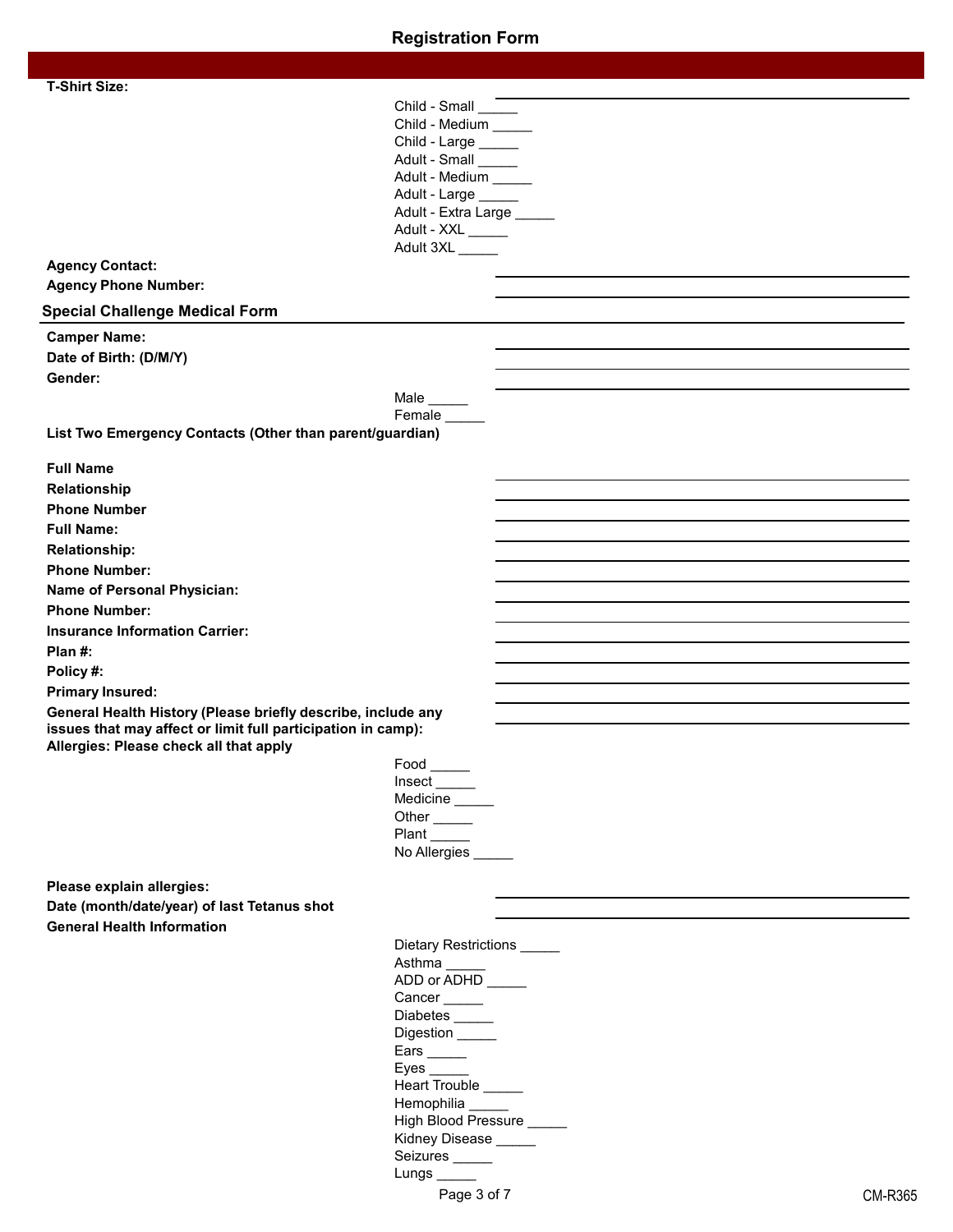| <b>T-Shirt Size:</b>                                                                                   |                                             |
|--------------------------------------------------------------------------------------------------------|---------------------------------------------|
|                                                                                                        | Child - Small                               |
|                                                                                                        | Child - Medium _____<br>Child - Large _____ |
|                                                                                                        | Adult - Small                               |
|                                                                                                        | Adult - Medium _____                        |
|                                                                                                        | Adult - Large                               |
|                                                                                                        | Adult - Extra Large _____                   |
|                                                                                                        | Adult - XXL                                 |
|                                                                                                        | Adult 3XL                                   |
| <b>Agency Contact:</b>                                                                                 |                                             |
| <b>Agency Phone Number:</b>                                                                            |                                             |
| <b>Special Challenge Medical Form</b>                                                                  |                                             |
| <b>Camper Name:</b>                                                                                    |                                             |
| Date of Birth: (D/M/Y)                                                                                 |                                             |
| Gender:                                                                                                |                                             |
|                                                                                                        | Male $\_\_\_\_\_\_\_\$                      |
|                                                                                                        | Female _____                                |
| List Two Emergency Contacts (Other than parent/guardian)                                               |                                             |
| <b>Full Name</b>                                                                                       |                                             |
| Relationship                                                                                           |                                             |
| <b>Phone Number</b>                                                                                    |                                             |
| <b>Full Name:</b>                                                                                      |                                             |
| <b>Relationship:</b>                                                                                   |                                             |
| <b>Phone Number:</b>                                                                                   |                                             |
| Name of Personal Physician:                                                                            |                                             |
| <b>Phone Number:</b>                                                                                   |                                             |
| <b>Insurance Information Carrier:</b>                                                                  |                                             |
| Plan $#$ :                                                                                             |                                             |
| Policy#:                                                                                               |                                             |
| <b>Primary Insured:</b>                                                                                |                                             |
| General Health History (Please briefly describe, include any                                           |                                             |
| issues that may affect or limit full participation in camp):<br>Allergies: Please check all that apply |                                             |
|                                                                                                        | $Food$ <sub>______</sub>                    |
|                                                                                                        | $Insert$ <sub>_____</sub>                   |
|                                                                                                        | Medicine                                    |
|                                                                                                        | Other <sub>_____</sub>                      |
|                                                                                                        | Plant                                       |
|                                                                                                        | No Allergies _____                          |
| Please explain allergies:                                                                              |                                             |
| Date (month/date/year) of last Tetanus shot                                                            |                                             |
| <b>General Health Information</b>                                                                      |                                             |
|                                                                                                        | Dietary Restrictions _____                  |
|                                                                                                        | Asthma                                      |
|                                                                                                        | ADD or ADHD                                 |
|                                                                                                        | Cancer                                      |
|                                                                                                        | Diabetes<br>Digestion _____                 |
|                                                                                                        | Ears $\_\_\_\_\_\_\$                        |
|                                                                                                        | Eyes $\_\_\_\_\_\_\$                        |
|                                                                                                        | Heart Trouble _____                         |
|                                                                                                        | Hemophilia _____                            |
|                                                                                                        | High Blood Pressure _____                   |
|                                                                                                        | Kidney Disease _____                        |

Seizures **\_\_\_\_\_** Lungs \_\_\_\_\_\_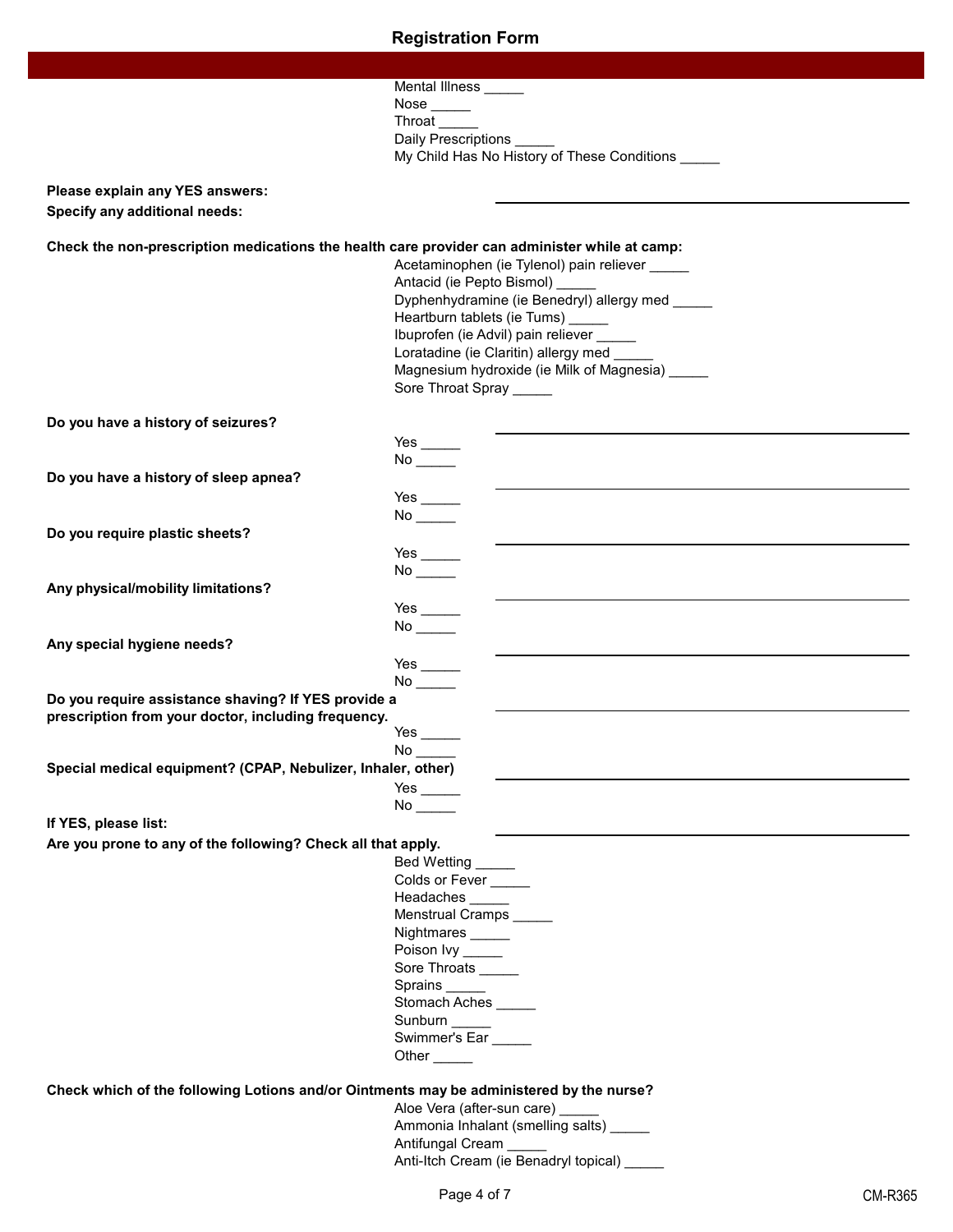|                                                                                               | Mental Illness _____                                                                                            |
|-----------------------------------------------------------------------------------------------|-----------------------------------------------------------------------------------------------------------------|
|                                                                                               | Nose $\_\_\_\_\_\_\$                                                                                            |
|                                                                                               | Throat                                                                                                          |
|                                                                                               | Daily Prescriptions<br>My Child Has No History of These Conditions _____                                        |
|                                                                                               |                                                                                                                 |
| Please explain any YES answers:                                                               |                                                                                                                 |
| <b>Specify any additional needs:</b>                                                          |                                                                                                                 |
|                                                                                               |                                                                                                                 |
| Check the non-prescription medications the health care provider can administer while at camp: |                                                                                                                 |
|                                                                                               | Acetaminophen (ie Tylenol) pain reliever _____                                                                  |
|                                                                                               | Antacid (ie Pepto Bismol) ______                                                                                |
|                                                                                               | Dyphenhydramine (ie Benedryl) allergy med _____                                                                 |
|                                                                                               | Heartburn tablets (ie Tums) _____                                                                               |
|                                                                                               | Ibuprofen (ie Advil) pain reliever _____                                                                        |
|                                                                                               | Loratadine (ie Claritin) allergy med ___                                                                        |
|                                                                                               | Magnesium hydroxide (ie Milk of Magnesia) ____                                                                  |
|                                                                                               | Sore Throat Spray _____                                                                                         |
|                                                                                               |                                                                                                                 |
| Do you have a history of seizures?                                                            |                                                                                                                 |
|                                                                                               |                                                                                                                 |
|                                                                                               | $No$ <sub>_____</sub>                                                                                           |
| Do you have a history of sleep apnea?                                                         |                                                                                                                 |
|                                                                                               | Yes $\_\_\_\_\_\_\_\_\$                                                                                         |
|                                                                                               |                                                                                                                 |
| Do you require plastic sheets?                                                                |                                                                                                                 |
|                                                                                               | Yes $\_\_\_\_\_\_\_\$                                                                                           |
|                                                                                               | $No$ <sub>_____</sub>                                                                                           |
| Any physical/mobility limitations?                                                            |                                                                                                                 |
|                                                                                               | Yes $\_\_\_\_\_\_\_\_\$                                                                                         |
|                                                                                               |                                                                                                                 |
| Any special hygiene needs?                                                                    |                                                                                                                 |
|                                                                                               | Yes $\_\_$                                                                                                      |
|                                                                                               |                                                                                                                 |
| Do you require assistance shaving? If YES provide a                                           |                                                                                                                 |
| prescription from your doctor, including frequency.                                           |                                                                                                                 |
|                                                                                               | Yes $\_\_$                                                                                                      |
|                                                                                               | No $\_\_$                                                                                                       |
| Special medical equipment? (CPAP, Nebulizer, Inhaler, other)                                  |                                                                                                                 |
|                                                                                               |                                                                                                                 |
|                                                                                               | No control to the set of the set of the set of the set of the set of the set of the set of the set of the set o |
| If YES, please list:                                                                          |                                                                                                                 |
| Are you prone to any of the following? Check all that apply.                                  |                                                                                                                 |
|                                                                                               | Bed Wetting _____                                                                                               |
|                                                                                               | Colds or Fever                                                                                                  |
|                                                                                               | Headaches _____                                                                                                 |
|                                                                                               | Menstrual Cramps _____                                                                                          |
|                                                                                               | Nightmares _____                                                                                                |
|                                                                                               | Poison Ivy _____                                                                                                |
|                                                                                               | Sore Throats _____                                                                                              |
|                                                                                               | Sprains _____                                                                                                   |
|                                                                                               | Stomach Aches                                                                                                   |
|                                                                                               | Sunburn _____                                                                                                   |
|                                                                                               | Swimmer's Ear                                                                                                   |
|                                                                                               | Other $\_\_\_\_\$                                                                                               |
|                                                                                               |                                                                                                                 |
| Check which of the following Lotions and/or Ointments may be administered by the nurse?       |                                                                                                                 |
|                                                                                               | Aloe Vera (after-sun care) ______                                                                               |
|                                                                                               | Ammonia Inhalant (smelling salts) _____                                                                         |
|                                                                                               | Antifungal Cream                                                                                                |
|                                                                                               | Anti-Itch Cream (ie Benadryl topical)                                                                           |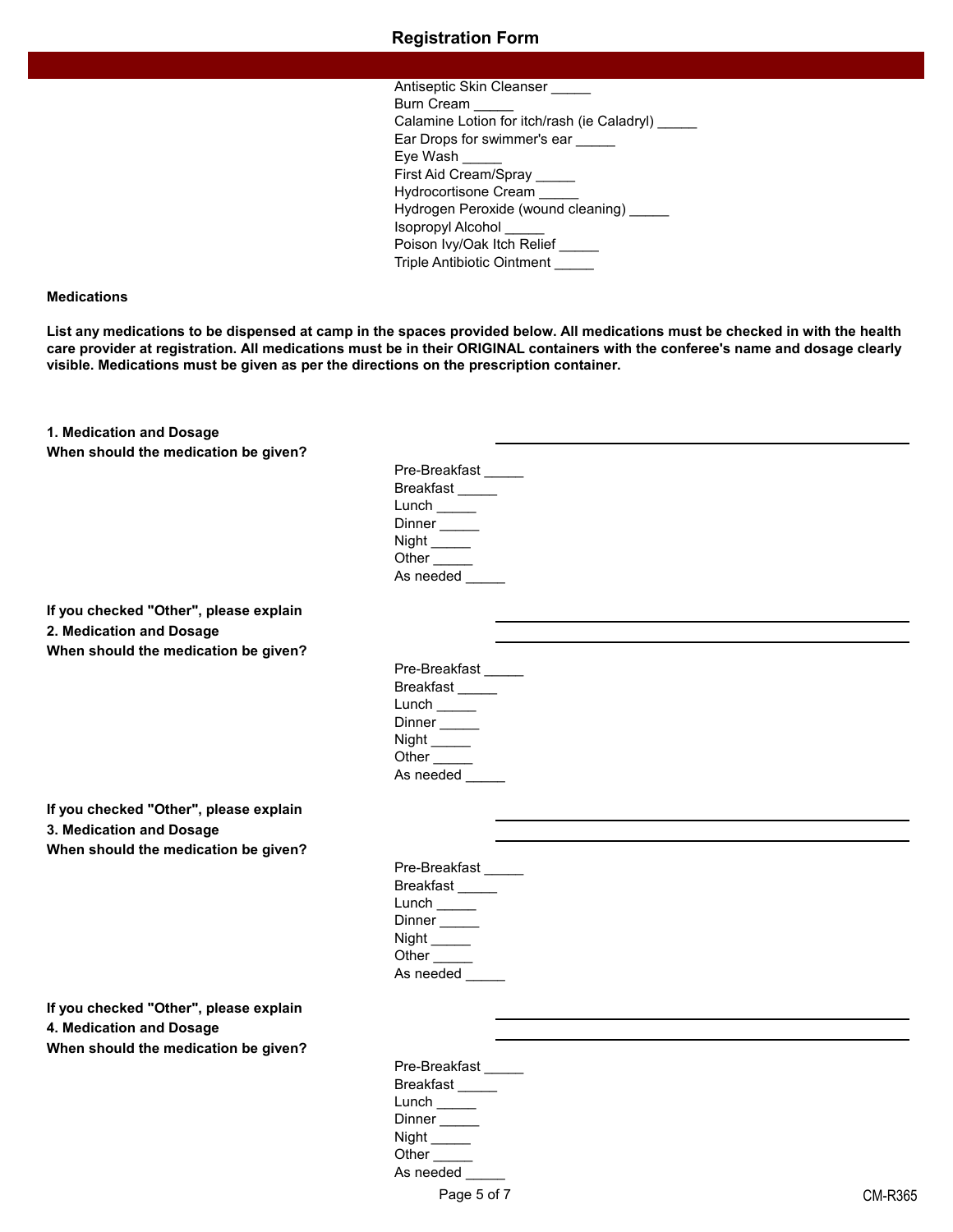#### **Medications**

**List any medications to be dispensed at camp in the spaces provided below. All medications must be checked in with the health care provider at registration. All medications must be in their ORIGINAL containers with the conferee's name and dosage clearly visible. Medications must be given as per the directions on the prescription container.**

**1. Medication and Dosage When should the medication be given?**

| Pre-Breakfast                                                                         |
|---------------------------------------------------------------------------------------|
| Breakfast                                                                             |
| Lunch $\frac{1}{\sqrt{1-\frac{1}{2}}\sqrt{1-\frac{1}{2}}\left( \frac{1}{2}+1\right)}$ |
| Dinner                                                                                |
| Night _____                                                                           |
| Other                                                                                 |
| As needed                                                                             |
|                                                                                       |

**If you checked "Other", please explain 2. Medication and Dosage When should the medication be given?**

| Pre-Breakfast |  |
|---------------|--|
| Breakfast     |  |
| Lunch         |  |
| Dinner        |  |
| Night _____   |  |
| Other         |  |
| As needed     |  |

**If you checked "Other", please explain 3. Medication and Dosage When should the medication be given?**

| Pre-Breakfast |  |
|---------------|--|
| Breakfast     |  |
| Lunch         |  |
| Dinner        |  |
| Night ____    |  |
| Other         |  |
| As needed     |  |
|               |  |

**If you checked "Other", please explain 4. Medication and Dosage**

**When should the medication be given?**

Pre-Breakfast Breakfast \_\_\_\_\_ Lunch \_\_\_\_\_\_ Dinner \_\_\_\_\_ Night \_\_\_\_\_\_ Other \_\_\_\_\_ As needed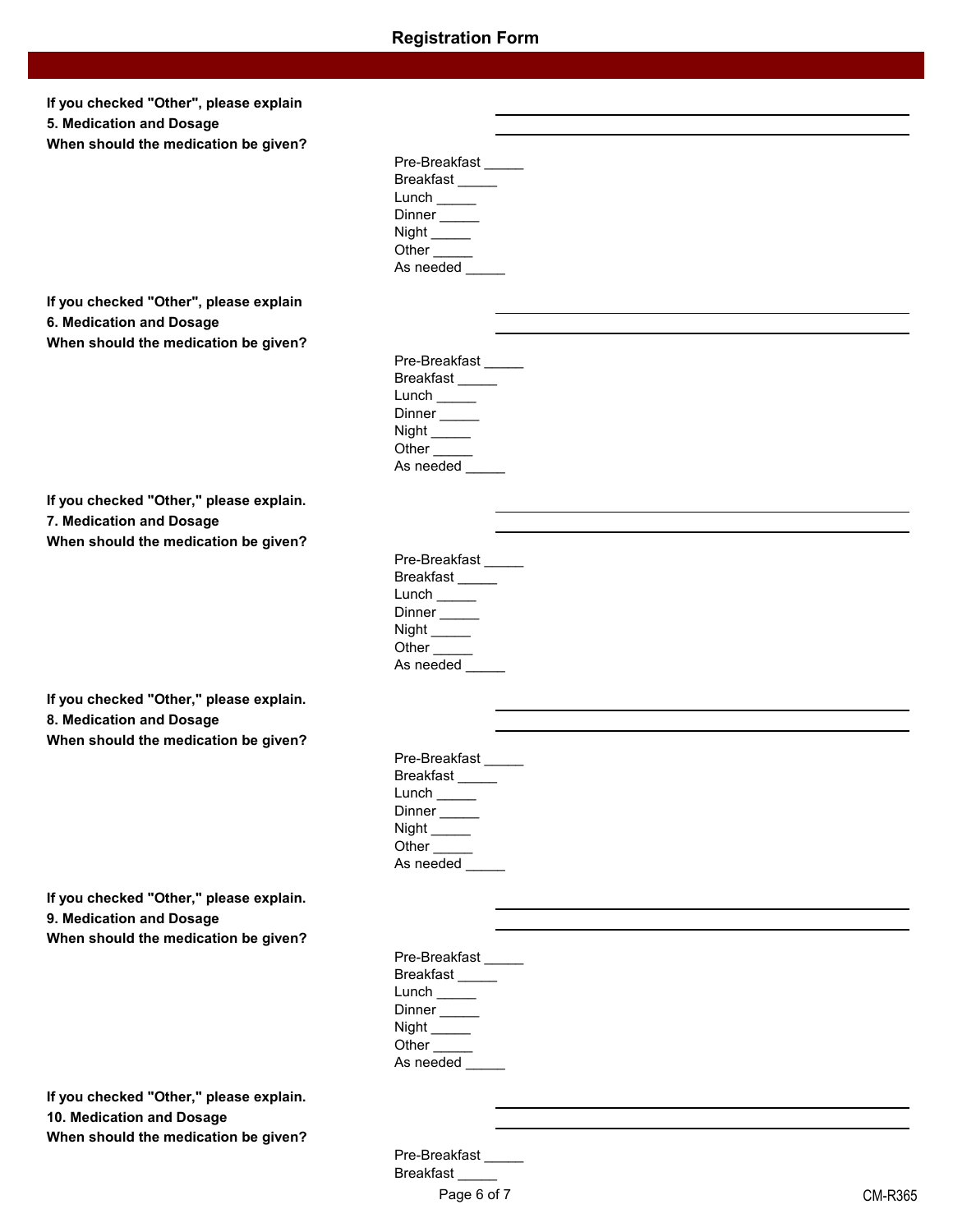| If you checked "Other", please explain<br>5. Medication and Dosage<br>When should the medication be given? |                                           |
|------------------------------------------------------------------------------------------------------------|-------------------------------------------|
|                                                                                                            | Pre-Breakfast                             |
|                                                                                                            | Breakfast_____                            |
|                                                                                                            | Dinner                                    |
|                                                                                                            | Night _______                             |
|                                                                                                            | Other <sub>_____</sub>                    |
|                                                                                                            | As needed _____                           |
| If you checked "Other", please explain                                                                     |                                           |
| 6. Medication and Dosage                                                                                   |                                           |
| When should the medication be given?                                                                       |                                           |
|                                                                                                            | Pre-Breakfast<br>Breakfast                |
|                                                                                                            | Lunch $\_\_$                              |
|                                                                                                            | Dinner                                    |
|                                                                                                            | Other <sub>_____</sub>                    |
|                                                                                                            | As needed                                 |
|                                                                                                            |                                           |
| If you checked "Other," please explain.<br>7. Medication and Dosage                                        |                                           |
| When should the medication be given?                                                                       |                                           |
|                                                                                                            | Pre-Breakfast                             |
|                                                                                                            | Breakfast_____                            |
|                                                                                                            |                                           |
|                                                                                                            | Dinner _____<br>Night $\_\_\_\_\_\$       |
|                                                                                                            | Other $\_\_\_\_\_\$                       |
|                                                                                                            | As needed                                 |
| If you checked "Other," please explain.                                                                    |                                           |
| 8. Medication and Dosage                                                                                   |                                           |
| When should the medication be given?                                                                       |                                           |
|                                                                                                            | Pre-Breakfast                             |
|                                                                                                            | Breakfast                                 |
|                                                                                                            | Dinner <sub>_____</sub>                   |
|                                                                                                            |                                           |
|                                                                                                            | Other <sub>_____</sub><br>As needed _____ |
|                                                                                                            |                                           |
| If you checked "Other," please explain.                                                                    |                                           |
| 9. Medication and Dosage                                                                                   |                                           |
| When should the medication be given?                                                                       | Pre-Breakfast                             |
|                                                                                                            | Breakfast                                 |
|                                                                                                            |                                           |
|                                                                                                            | Dinner <sub>_____</sub>                   |
|                                                                                                            | Night ________<br>Other <sub>_____</sub>  |
|                                                                                                            | As needed _____                           |
| If you checked "Other," please explain.                                                                    |                                           |

**10. Medication and Dosage**

**When should the medication be given ?**

Pre-Breakfast \_\_\_\_\_ Breakfast \_\_\_\_\_ Page 6 of 7